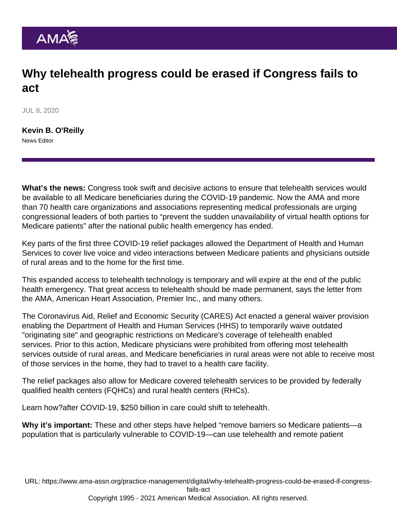## Why telehealth progress could be erased if Congress fails to act

JUL 8, 2020

[Kevin B. O'Reilly](https://www.ama-assn.org/news-leadership-viewpoints/authors-news-leadership-viewpoints/kevin-b-oreilly) News Editor

What's the news: Congress took swift and decisive actions to ensure that telehealth services would be available to all Medicare beneficiaries during the COVID-19 pandemic. Now the AMA and more than 70 health care organizations and associations representing medical professionals are urging congressional leaders of both parties to "prevent the sudden unavailability of virtual health options for Medicare patients" after the national public health emergency has ended.

Key parts of the first three COVID-19 relief packages allowed the Department of Health and Human Services to cover live voice and video interactions between Medicare patients and physicians outside of rural areas and to the home for the first time.

This expanded access to telehealth technology is temporary and will expire at the end of the public health emergency. That great access to telehealth should be made permanent, [says the letter](https://searchlf.ama-assn.org/undefined/documentDownload?uri=/unstructured/binary/letter/LETTERS/2020-06-25-Signed-On-Letter-Coalition-Telehealth-Permanent-FINAL.pdf) from the AMA, American Heart Association, Premier Inc., and many others.

The Coronavirus Aid, Relief and Economic Security (CARES) Act enacted a general waiver provision enabling the Department of Health and Human Services (HHS) to temporarily waive outdated "originating site" and geographic restrictions on Medicare's coverage of telehealth enabled services. Prior to this action, Medicare physicians were prohibited from offering most telehealth services outside of rural areas, and Medicare beneficiaries in rural areas were not able to receive most of those services in the home, they had to travel to a health care facility.

The relief packages also allow for Medicare covered telehealth services to be provided by federally qualified health centers (FQHCs) and rural health centers (RHCs).

Learn how?[after COVID-19, \\$250 billion in care could shift to telehealth](https://www.ama-assn.org/practice-management/digital/after-covid-19-250-billion-care-could-shift-telehealth).

Why it's important: These and other steps have helped "remove barriers so Medicare patients—a population that is particularly vulnerable to COVID-19—can use telehealth and remote patient

URL: [https://www.ama-assn.org/practice-management/digital/why-telehealth-progress-could-be-erased-if-congress](https://www.ama-assn.org/practice-management/digital/why-telehealth-progress-could-be-erased-if-congress-fails-act)[fails-act](https://www.ama-assn.org/practice-management/digital/why-telehealth-progress-could-be-erased-if-congress-fails-act)